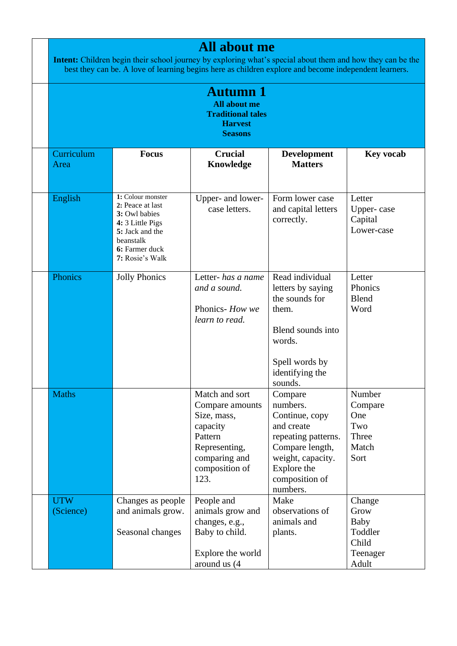|                         | Intent: Children begin their school journey by exploring what's special about them and how they can be the<br>best they can be. A love of learning begins here as children explore and become independent learners. | <b>All about me</b>                                                                                                                 |                                                                                                                                                                 |                                                                 |
|-------------------------|---------------------------------------------------------------------------------------------------------------------------------------------------------------------------------------------------------------------|-------------------------------------------------------------------------------------------------------------------------------------|-----------------------------------------------------------------------------------------------------------------------------------------------------------------|-----------------------------------------------------------------|
|                         |                                                                                                                                                                                                                     | <b>Autumn</b> 1<br><b>All about me</b><br><b>Traditional tales</b><br><b>Harvest</b><br><b>Seasons</b>                              |                                                                                                                                                                 |                                                                 |
| Curriculum<br>Area      | <b>Focus</b>                                                                                                                                                                                                        | <b>Crucial</b><br>Knowledge                                                                                                         | <b>Development</b><br><b>Matters</b>                                                                                                                            | <b>Key vocab</b>                                                |
| English                 | 1: Colour monster<br>2: Peace at last<br>3: Owl babies<br>4: 3 Little Pigs<br>5: Jack and the<br>beanstalk<br>6: Farmer duck<br>7: Rosie's Walk                                                                     | Upper- and lower-<br>case letters.                                                                                                  | Form lower case<br>and capital letters<br>correctly.                                                                                                            | Letter<br>Upper-case<br>Capital<br>Lower-case                   |
| Phonics                 | <b>Jolly Phonics</b>                                                                                                                                                                                                | Letter- has a name<br>and a sound.<br>Phonics- How we<br>learn to read.                                                             | Read individual<br>letters by saying<br>the sounds for<br>them.<br>Blend sounds into<br>words.<br>Spell words by<br>identifying the<br>sounds.                  | Letter<br>Phonics<br>Blend<br>Word                              |
| <b>Maths</b>            |                                                                                                                                                                                                                     | Match and sort<br>Compare amounts<br>Size, mass,<br>capacity<br>Pattern<br>Representing,<br>comparing and<br>composition of<br>123. | Compare<br>numbers.<br>Continue, copy<br>and create<br>repeating patterns.<br>Compare length,<br>weight, capacity.<br>Explore the<br>composition of<br>numbers. | Number<br>Compare<br>One<br>Two<br>Three<br>Match<br>Sort       |
| <b>UTW</b><br>(Science) | Changes as people<br>and animals grow.<br>Seasonal changes                                                                                                                                                          | People and<br>animals grow and<br>changes, e.g.,<br>Baby to child.<br>Explore the world<br>around us (4                             | Make<br>observations of<br>animals and<br>plants.                                                                                                               | Change<br>Grow<br>Baby<br>Toddler<br>Child<br>Teenager<br>Adult |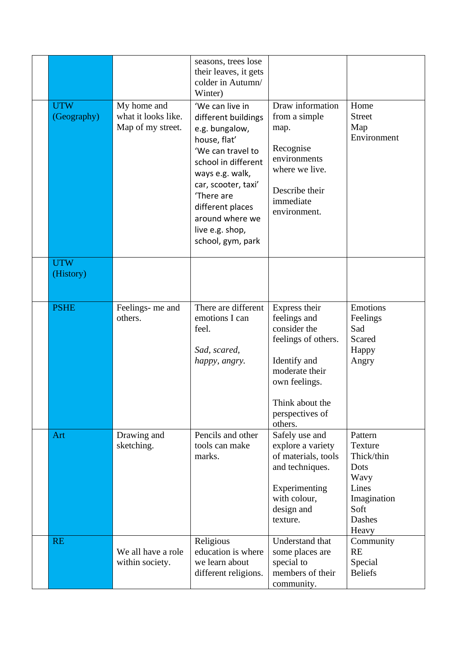|                           |                                                         | seasons, trees lose<br>their leaves, it gets<br>colder in Autumn/<br>Winter)                                                                                                                                                                                |                                                                                                                                                                          |                                                                                                     |
|---------------------------|---------------------------------------------------------|-------------------------------------------------------------------------------------------------------------------------------------------------------------------------------------------------------------------------------------------------------------|--------------------------------------------------------------------------------------------------------------------------------------------------------------------------|-----------------------------------------------------------------------------------------------------|
| <b>UTW</b><br>(Geography) | My home and<br>what it looks like.<br>Map of my street. | 'We can live in<br>different buildings<br>e.g. bungalow,<br>house, flat'<br>'We can travel to<br>school in different<br>ways e.g. walk,<br>car, scooter, taxi'<br>'There are<br>different places<br>around where we<br>live e.g. shop,<br>school, gym, park | Draw information<br>from a simple<br>map.<br>Recognise<br>environments<br>where we live.<br>Describe their<br>immediate<br>environment.                                  | Home<br><b>Street</b><br>Map<br>Environment                                                         |
| <b>UTW</b><br>(History)   |                                                         |                                                                                                                                                                                                                                                             |                                                                                                                                                                          |                                                                                                     |
| <b>PSHE</b>               | Feelings- me and<br>others.                             | There are different<br>emotions I can<br>feel.<br>Sad, scared,<br>happy, angry.                                                                                                                                                                             | Express their<br>feelings and<br>consider the<br>feelings of others.<br>Identify and<br>moderate their<br>own feelings.<br>Think about the<br>perspectives of<br>others. | Emotions<br>Feelings<br>Sad<br>Scared<br>Happy<br>Angry                                             |
| Art                       | Drawing and<br>sketching.                               | Pencils and other<br>tools can make<br>marks.                                                                                                                                                                                                               | Safely use and<br>explore a variety<br>of materials, tools<br>and techniques.<br>Experimenting<br>with colour,<br>design and<br>texture.                                 | Pattern<br>Texture<br>Thick/thin<br>Dots<br>Wavy<br>Lines<br>Imagination<br>Soft<br>Dashes<br>Heavy |
| <b>RE</b>                 | We all have a role<br>within society.                   | Religious<br>education is where<br>we learn about<br>different religions.                                                                                                                                                                                   | Understand that<br>some places are<br>special to<br>members of their<br>community.                                                                                       | Community<br><b>RE</b><br>Special<br><b>Beliefs</b>                                                 |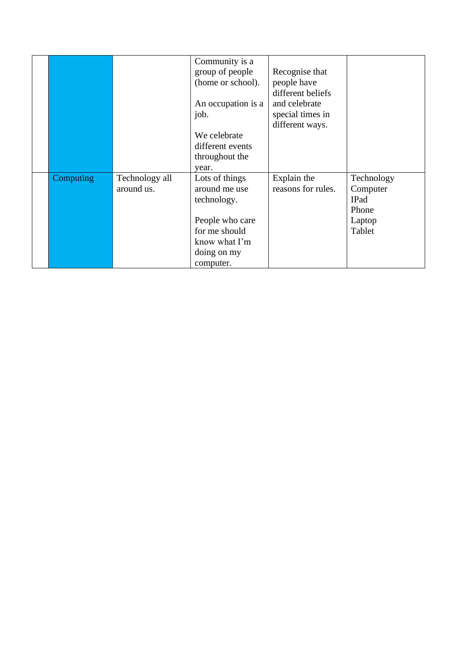|           |                              | Community is a<br>group of people<br>(home or school).<br>An occupation is a<br>job.<br>We celebrate<br>different events<br>throughout the | Recognise that<br>people have<br>different beliefs<br>and celebrate<br>special times in<br>different ways. |                                                                    |
|-----------|------------------------------|--------------------------------------------------------------------------------------------------------------------------------------------|------------------------------------------------------------------------------------------------------------|--------------------------------------------------------------------|
| Computing | Technology all<br>around us. | year.<br>Lots of things<br>around me use<br>technology.<br>People who care<br>for me should<br>know what I'm<br>doing on my<br>computer.   | Explain the<br>reasons for rules.                                                                          | Technology<br>Computer<br><b>IPad</b><br>Phone<br>Laptop<br>Tablet |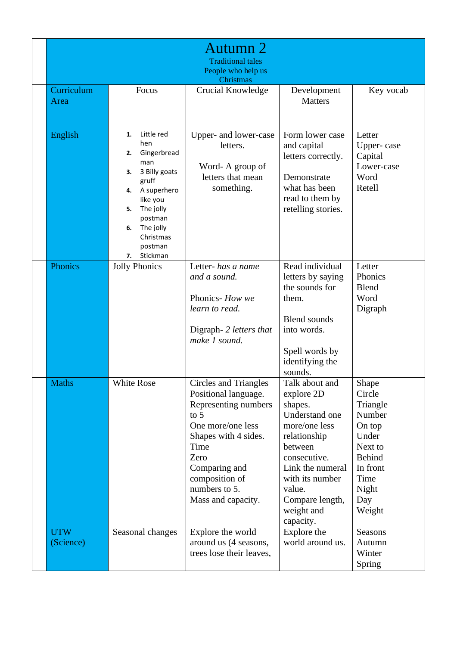|                         |                                                                                                                                                                                                                 | Autumn 2<br><b>Traditional tales</b><br>People who help us<br>Christmas                                                                                                                                                       |                                                                                                                                                                                                                      |                                                                                                                                    |
|-------------------------|-----------------------------------------------------------------------------------------------------------------------------------------------------------------------------------------------------------------|-------------------------------------------------------------------------------------------------------------------------------------------------------------------------------------------------------------------------------|----------------------------------------------------------------------------------------------------------------------------------------------------------------------------------------------------------------------|------------------------------------------------------------------------------------------------------------------------------------|
| Curriculum<br>Area      | Focus                                                                                                                                                                                                           | Crucial Knowledge                                                                                                                                                                                                             | Development<br><b>Matters</b>                                                                                                                                                                                        | Key vocab                                                                                                                          |
| English                 | Little red<br>1.<br>hen<br>Gingerbread<br>2.<br>man<br>3 Billy goats<br>3.<br>gruff<br>A superhero<br>4.<br>like you<br>The jolly<br>5.<br>postman<br>The jolly<br>6.<br>Christmas<br>postman<br>Stickman<br>7. | Upper- and lower-case<br>letters.<br>Word-A group of<br>letters that mean<br>something.                                                                                                                                       | Form lower case<br>and capital<br>letters correctly.<br>Demonstrate<br>what has been<br>read to them by<br>retelling stories.                                                                                        | Letter<br>Upper-case<br>Capital<br>Lower-case<br>Word<br>Retell                                                                    |
| Phonics                 | <b>Jolly Phonics</b>                                                                                                                                                                                            | Letter- has a name<br>and a sound.<br>Phonics- How we<br>learn to read.<br>Digraph- 2 letters that<br>make 1 sound.                                                                                                           | Read individual<br>letters by saying<br>the sounds for<br>them.<br><b>Blend sounds</b><br>into words.<br>Spell words by<br>identifying the<br>sounds.                                                                | Letter<br>Phonics<br><b>Blend</b><br>Word<br>Digraph                                                                               |
| <b>Maths</b>            | White Rose                                                                                                                                                                                                      | <b>Circles and Triangles</b><br>Positional language.<br>Representing numbers<br>to $5$<br>One more/one less<br>Shapes with 4 sides.<br>Time<br>Zero<br>Comparing and<br>composition of<br>numbers to 5.<br>Mass and capacity. | Talk about and<br>explore 2D<br>shapes.<br>Understand one<br>more/one less<br>relationship<br>between<br>consecutive.<br>Link the numeral<br>with its number<br>value.<br>Compare length,<br>weight and<br>capacity. | Shape<br>Circle<br>Triangle<br>Number<br>On top<br>Under<br>Next to<br><b>Behind</b><br>In front<br>Time<br>Night<br>Day<br>Weight |
| <b>UTW</b><br>(Science) | Seasonal changes                                                                                                                                                                                                | Explore the world<br>around us (4 seasons,<br>trees lose their leaves,                                                                                                                                                        | Explore the<br>world around us.                                                                                                                                                                                      | Seasons<br>Autumn<br>Winter<br>Spring                                                                                              |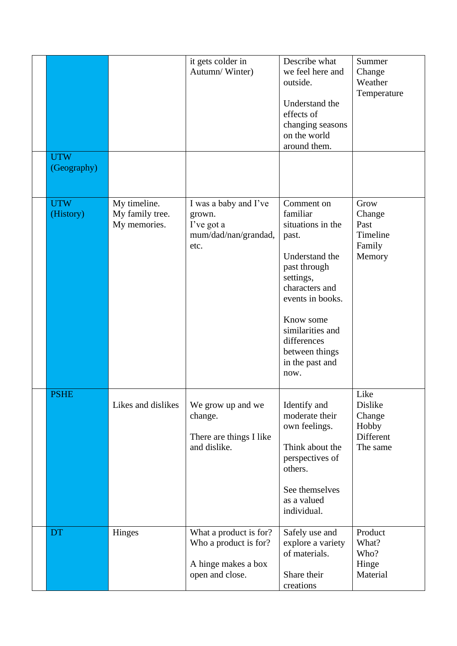| <b>UTW</b><br>(Geography) |                                                 | it gets colder in<br>Autumn/Winter)                                                       | Describe what<br>we feel here and<br>outside.<br>Understand the<br>effects of<br>changing seasons<br>on the world<br>around them.                                                                                                      | Summer<br>Change<br>Weather<br>Temperature                  |
|---------------------------|-------------------------------------------------|-------------------------------------------------------------------------------------------|----------------------------------------------------------------------------------------------------------------------------------------------------------------------------------------------------------------------------------------|-------------------------------------------------------------|
|                           |                                                 |                                                                                           |                                                                                                                                                                                                                                        |                                                             |
| <b>UTW</b><br>(History)   | My timeline.<br>My family tree.<br>My memories. | I was a baby and I've<br>grown.<br>I've got a<br>mum/dad/nan/grandad,<br>etc.             | Comment on<br>familiar<br>situations in the<br>past.<br>Understand the<br>past through<br>settings,<br>characters and<br>events in books.<br>Know some<br>similarities and<br>differences<br>between things<br>in the past and<br>now. | Grow<br>Change<br>Past<br>Timeline<br>Family<br>Memory      |
| <b>PSHE</b>               | Likes and dislikes                              | We grow up and we<br>change.<br>There are things I like<br>and dislike.                   | Identify and<br>moderate their<br>own feelings.<br>Think about the<br>perspectives of<br>others.<br>See themselves<br>as a valued<br>individual.                                                                                       | Like<br>Dislike<br>Change<br>Hobby<br>Different<br>The same |
| DT                        | Hinges                                          | What a product is for?<br>Who a product is for?<br>A hinge makes a box<br>open and close. | Safely use and<br>explore a variety<br>of materials.<br>Share their<br>creations                                                                                                                                                       | Product<br>What?<br>Who?<br>Hinge<br>Material               |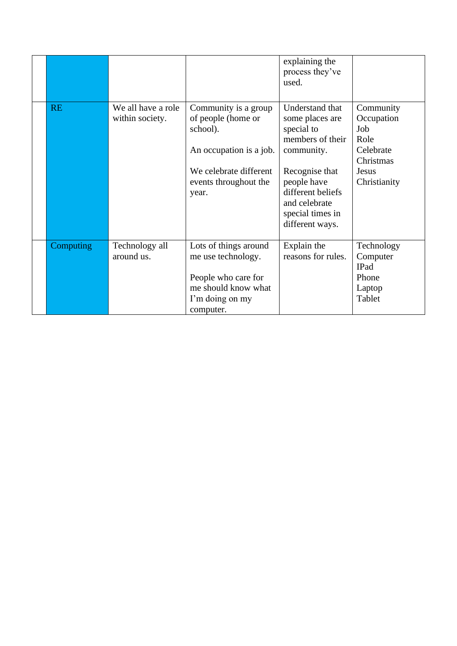|           |                                       |                                                                                                                                               | explaining the<br>process they've<br>used.                                                                                                                                                       |                                                                                           |
|-----------|---------------------------------------|-----------------------------------------------------------------------------------------------------------------------------------------------|--------------------------------------------------------------------------------------------------------------------------------------------------------------------------------------------------|-------------------------------------------------------------------------------------------|
| <b>RE</b> | We all have a role<br>within society. | Community is a group<br>of people (home or<br>school).<br>An occupation is a job.<br>We celebrate different<br>events throughout the<br>year. | Understand that<br>some places are<br>special to<br>members of their<br>community.<br>Recognise that<br>people have<br>different beliefs<br>and celebrate<br>special times in<br>different ways. | Community<br>Occupation<br>Job<br>Role<br>Celebrate<br>Christmas<br>Jesus<br>Christianity |
| Computing | Technology all<br>around us.          | Lots of things around<br>me use technology.<br>People who care for<br>me should know what<br>I'm doing on my<br>computer.                     | Explain the<br>reasons for rules.                                                                                                                                                                | Technology<br>Computer<br>IPad<br>Phone<br>Laptop<br>Tablet                               |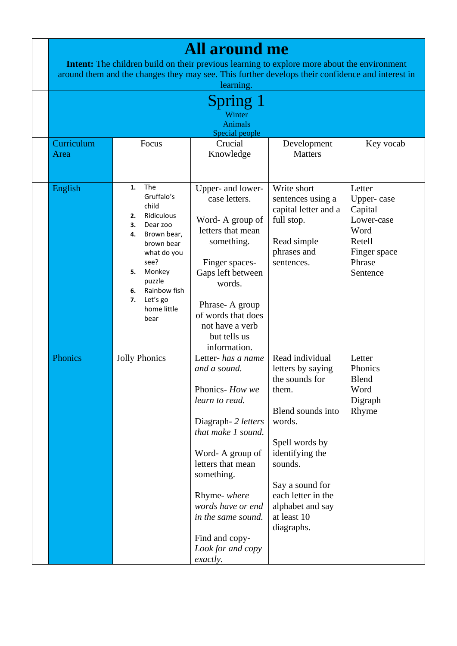|                    |                                                                                                                                                                                                                           | <b>All around me</b>                                                                                                                                                                                                                                                                    | <b>Intent:</b> The children build on their previous learning to explore more about the environment<br>around them and the changes they may see. This further develops their confidence and interest in                                   |                                                                                                       |
|--------------------|---------------------------------------------------------------------------------------------------------------------------------------------------------------------------------------------------------------------------|-----------------------------------------------------------------------------------------------------------------------------------------------------------------------------------------------------------------------------------------------------------------------------------------|------------------------------------------------------------------------------------------------------------------------------------------------------------------------------------------------------------------------------------------|-------------------------------------------------------------------------------------------------------|
|                    |                                                                                                                                                                                                                           | learning.                                                                                                                                                                                                                                                                               |                                                                                                                                                                                                                                          |                                                                                                       |
|                    |                                                                                                                                                                                                                           | Spring 1<br>Winter<br><b>Animals</b>                                                                                                                                                                                                                                                    |                                                                                                                                                                                                                                          |                                                                                                       |
|                    |                                                                                                                                                                                                                           | Special people                                                                                                                                                                                                                                                                          |                                                                                                                                                                                                                                          |                                                                                                       |
| Curriculum<br>Area | Focus                                                                                                                                                                                                                     | Crucial<br>Knowledge                                                                                                                                                                                                                                                                    | Development<br><b>Matters</b>                                                                                                                                                                                                            | Key vocab                                                                                             |
| English            | The<br>1.<br>Gruffalo's<br>child<br>Ridiculous<br>2.<br>3.<br>Dear zoo<br>Brown bear,<br>4.<br>brown bear<br>what do you<br>see?<br>Monkey<br>5.<br>puzzle<br>Rainbow fish<br>6.<br>Let's go<br>7.<br>home little<br>bear | Upper- and lower-<br>case letters.<br>Word-A group of<br>letters that mean<br>something.<br>Finger spaces-<br>Gaps left between<br>words.<br>Phrase-A group<br>of words that does<br>not have a verb<br>but tells us<br>information.                                                    | Write short<br>sentences using a<br>capital letter and a<br>full stop.<br>Read simple<br>phrases and<br>sentences.                                                                                                                       | Letter<br>Upper-case<br>Capital<br>Lower-case<br>Word<br>Retell<br>Finger space<br>Phrase<br>Sentence |
| Phonics            | <b>Jolly Phonics</b>                                                                                                                                                                                                      | Letter- has a name<br>and a sound.<br>Phonics-How we<br>learn to read.<br>Diagraph- 2 letters<br>that make 1 sound.<br>Word-A group of<br>letters that mean<br>something.<br>Rhyme- where<br>words have or end<br>in the same sound.<br>Find and copy-<br>Look for and copy<br>exactly. | Read individual<br>letters by saying<br>the sounds for<br>them.<br>Blend sounds into<br>words.<br>Spell words by<br>identifying the<br>sounds.<br>Say a sound for<br>each letter in the<br>alphabet and say<br>at least 10<br>diagraphs. | Letter<br>Phonics<br><b>Blend</b><br>Word<br>Digraph<br>Rhyme                                         |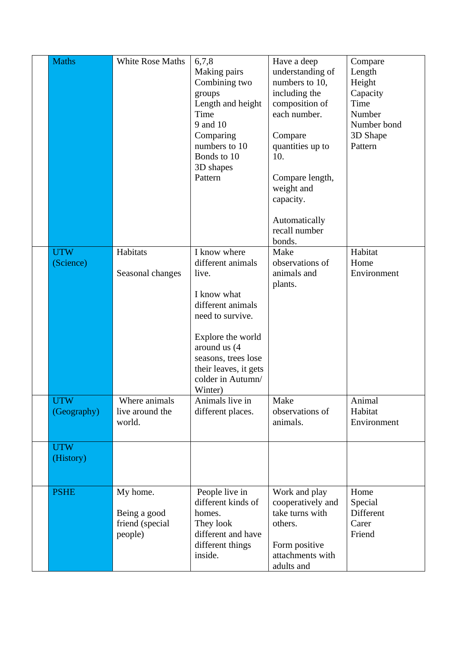| <b>Maths</b>                            | White Rose Maths                                       | 6,7,8<br>Making pairs<br>Combining two<br>groups<br>Length and height<br>Time<br>9 and 10<br>Comparing<br>numbers to 10<br>Bonds to 10<br>3D shapes<br>Pattern                                                          | Have a deep<br>understanding of<br>numbers to 10,<br>including the<br>composition of<br>each number.<br>Compare<br>quantities up to<br>10.<br>Compare length,<br>weight and<br>capacity.<br>Automatically<br>recall number | Compare<br>Length<br>Height<br>Capacity<br>Time<br>Number<br>Number bond<br>3D Shape<br>Pattern |
|-----------------------------------------|--------------------------------------------------------|-------------------------------------------------------------------------------------------------------------------------------------------------------------------------------------------------------------------------|----------------------------------------------------------------------------------------------------------------------------------------------------------------------------------------------------------------------------|-------------------------------------------------------------------------------------------------|
| <b>UTW</b><br>(Science)                 | Habitats<br>Seasonal changes                           | I know where<br>different animals<br>live.<br>I know what<br>different animals<br>need to survive.<br>Explore the world<br>around us (4<br>seasons, trees lose<br>their leaves, it gets<br>colder in Autumn/<br>Winter) | bonds.<br>Make<br>observations of<br>animals and<br>plants.                                                                                                                                                                | Habitat<br>Home<br>Environment                                                                  |
| <b>UTW</b><br>(Geography)<br><b>UTW</b> | Where animals<br>live around the<br>world.             | Animals live in<br>different places.                                                                                                                                                                                    | Make<br>observations of<br>animals.                                                                                                                                                                                        | Animal<br>Habitat<br>Environment                                                                |
| (History)                               |                                                        |                                                                                                                                                                                                                         |                                                                                                                                                                                                                            |                                                                                                 |
| <b>PSHE</b>                             | My home.<br>Being a good<br>friend (special<br>people) | People live in<br>different kinds of<br>homes.<br>They look<br>different and have<br>different things<br>inside.                                                                                                        | Work and play<br>cooperatively and<br>take turns with<br>others.<br>Form positive<br>attachments with<br>adults and                                                                                                        | Home<br>Special<br>Different<br>Carer<br>Friend                                                 |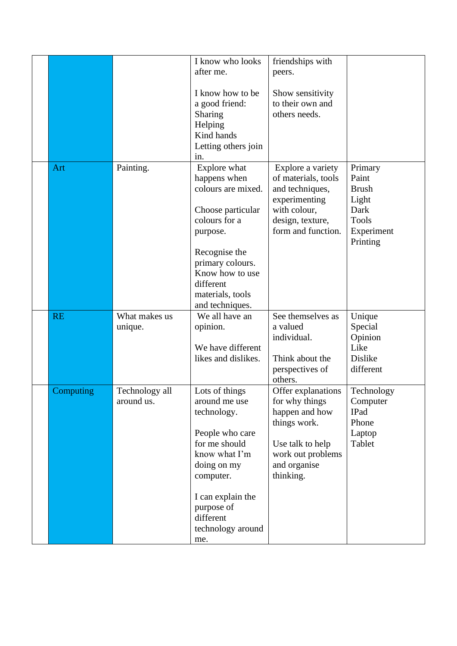|           |                | I know who looks    | friendships with    |                |
|-----------|----------------|---------------------|---------------------|----------------|
|           |                | after me.           | peers.              |                |
|           |                |                     |                     |                |
|           |                | I know how to be    | Show sensitivity    |                |
|           |                | a good friend:      | to their own and    |                |
|           |                | Sharing             | others needs.       |                |
|           |                |                     |                     |                |
|           |                | Helping             |                     |                |
|           |                | Kind hands          |                     |                |
|           |                | Letting others join |                     |                |
|           |                | in.                 |                     |                |
| Art       | Painting.      | Explore what        | Explore a variety   | Primary        |
|           |                | happens when        | of materials, tools | Paint          |
|           |                | colours are mixed.  | and techniques,     | <b>Brush</b>   |
|           |                |                     | experimenting       | Light          |
|           |                | Choose particular   | with colour,        | Dark           |
|           |                | colours for a       | design, texture,    | <b>Tools</b>   |
|           |                | purpose.            | form and function.  | Experiment     |
|           |                |                     |                     | Printing       |
|           |                | Recognise the       |                     |                |
|           |                | primary colours.    |                     |                |
|           |                | Know how to use     |                     |                |
|           |                | different           |                     |                |
|           |                | materials, tools    |                     |                |
|           |                | and techniques.     |                     |                |
| <b>RE</b> | What makes us  | We all have an      | See themselves as   | Unique         |
|           | unique.        | opinion.            | a valued            | Special        |
|           |                |                     | individual.         | Opinion        |
|           |                | We have different   |                     | Like           |
|           |                | likes and dislikes. | Think about the     | <b>Dislike</b> |
|           |                |                     |                     |                |
|           |                |                     | perspectives of     | different      |
|           |                |                     | others.             |                |
| Computing | Technology all | Lots of things      | Offer explanations  | Technology     |
|           | around us.     | around me use       | for why things      | Computer       |
|           |                | technology.         | happen and how      | IPad           |
|           |                |                     | things work.        | Phone          |
|           |                | People who care     |                     | Laptop         |
|           |                | for me should       | Use talk to help    | Tablet         |
|           |                | know what I'm       | work out problems   |                |
|           |                | doing on my         | and organise        |                |
|           |                | computer.           | thinking.           |                |
|           |                | I can explain the   |                     |                |
|           |                | purpose of          |                     |                |
|           |                | different           |                     |                |
|           |                | technology around   |                     |                |
|           |                | me.                 |                     |                |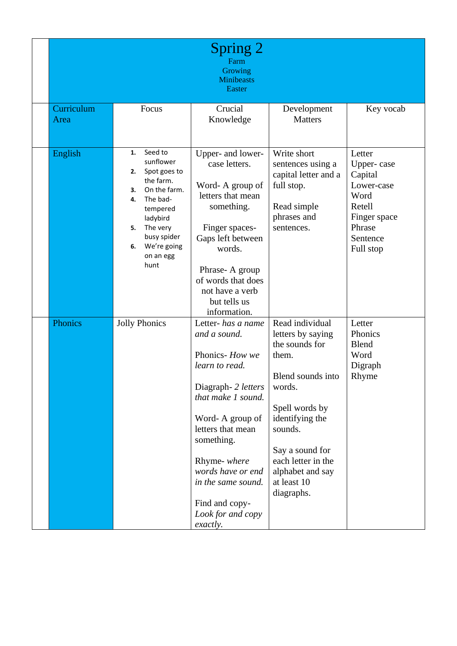|                    |                                                                                                                                                                                                          | Spring 2<br>Farm<br>Growing<br><b>Minibeasts</b><br><b>Easter</b>                                                                                                                                                                                                                       |                                                                                                                                                                                                                                          |                                                                                                                    |
|--------------------|----------------------------------------------------------------------------------------------------------------------------------------------------------------------------------------------------------|-----------------------------------------------------------------------------------------------------------------------------------------------------------------------------------------------------------------------------------------------------------------------------------------|------------------------------------------------------------------------------------------------------------------------------------------------------------------------------------------------------------------------------------------|--------------------------------------------------------------------------------------------------------------------|
| Curriculum<br>Area | Focus                                                                                                                                                                                                    | Crucial<br>Knowledge                                                                                                                                                                                                                                                                    | Development<br><b>Matters</b>                                                                                                                                                                                                            | Key vocab                                                                                                          |
| English            | Seed to<br>1.<br>sunflower<br>Spot goes to<br>2.<br>the farm.<br>On the farm.<br>3.<br>The bad-<br>4.<br>tempered<br>ladybird<br>The very<br>5.<br>busy spider<br>We're going<br>6.<br>on an egg<br>hunt | Upper- and lower-<br>case letters.<br>Word-A group of<br>letters that mean<br>something.<br>Finger spaces-<br>Gaps left between<br>words.<br>Phrase-A group<br>of words that does<br>not have a verb<br>but tells us<br>information.                                                    | Write short<br>sentences using a<br>capital letter and a<br>full stop.<br>Read simple<br>phrases and<br>sentences.                                                                                                                       | Letter<br>Upper-case<br>Capital<br>Lower-case<br>Word<br>Retell<br>Finger space<br>Phrase<br>Sentence<br>Full stop |
| Phonics            | <b>Jolly Phonics</b>                                                                                                                                                                                     | Letter- has a name<br>and a sound.<br>Phonics-How we<br>learn to read.<br>Diagraph- 2 letters<br>that make 1 sound.<br>Word-A group of<br>letters that mean<br>something.<br>Rhyme- where<br>words have or end<br>in the same sound.<br>Find and copy-<br>Look for and copy<br>exactly. | Read individual<br>letters by saying<br>the sounds for<br>them.<br>Blend sounds into<br>words.<br>Spell words by<br>identifying the<br>sounds.<br>Say a sound for<br>each letter in the<br>alphabet and say<br>at least 10<br>diagraphs. | Letter<br>Phonics<br><b>Blend</b><br>Word<br>Digraph<br>Rhyme                                                      |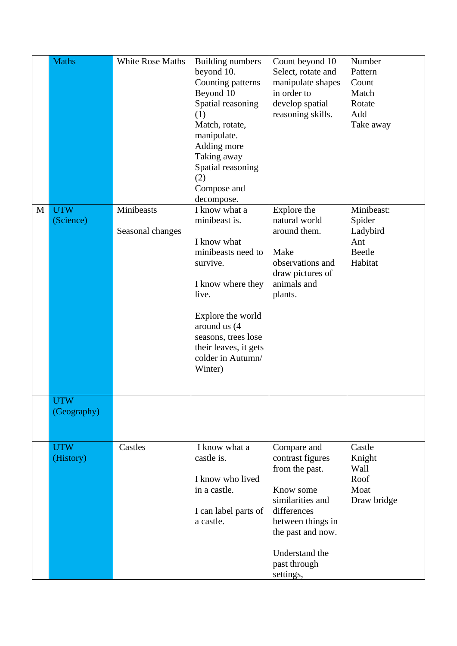|   | <b>Maths</b>            | <b>White Rose Maths</b>        | <b>Building numbers</b><br>beyond 10.<br>Counting patterns<br>Beyond 10<br>Spatial reasoning<br>(1)<br>Match, rotate,<br>manipulate.<br>Adding more<br>Taking away<br>Spatial reasoning<br>(2)<br>Compose and<br>decompose.        | Count beyond 10<br>Select, rotate and<br>manipulate shapes<br>in order to<br>develop spatial<br>reasoning skills.                                                                          | Number<br>Pattern<br>Count<br>Match<br>Rotate<br>Add<br>Take away   |
|---|-------------------------|--------------------------------|------------------------------------------------------------------------------------------------------------------------------------------------------------------------------------------------------------------------------------|--------------------------------------------------------------------------------------------------------------------------------------------------------------------------------------------|---------------------------------------------------------------------|
| M | <b>UTW</b><br>(Science) | Minibeasts<br>Seasonal changes | I know what a<br>minibeast is.<br>I know what<br>minibeasts need to<br>survive.<br>I know where they<br>live.<br>Explore the world<br>around us (4<br>seasons, trees lose<br>their leaves, it gets<br>colder in Autumn/<br>Winter) | Explore the<br>natural world<br>around them.<br>Make<br>observations and<br>draw pictures of<br>animals and<br>plants.                                                                     | Minibeast:<br>Spider<br>Ladybird<br>Ant<br><b>Beetle</b><br>Habitat |
|   | UTW<br>(Geography)      |                                |                                                                                                                                                                                                                                    |                                                                                                                                                                                            |                                                                     |
|   | <b>UTW</b><br>(History) | Castles                        | I know what a<br>castle is.<br>I know who lived<br>in a castle.<br>I can label parts of<br>a castle.                                                                                                                               | Compare and<br>contrast figures<br>from the past.<br>Know some<br>similarities and<br>differences<br>between things in<br>the past and now.<br>Understand the<br>past through<br>settings, | Castle<br>Knight<br>Wall<br>Roof<br>Moat<br>Draw bridge             |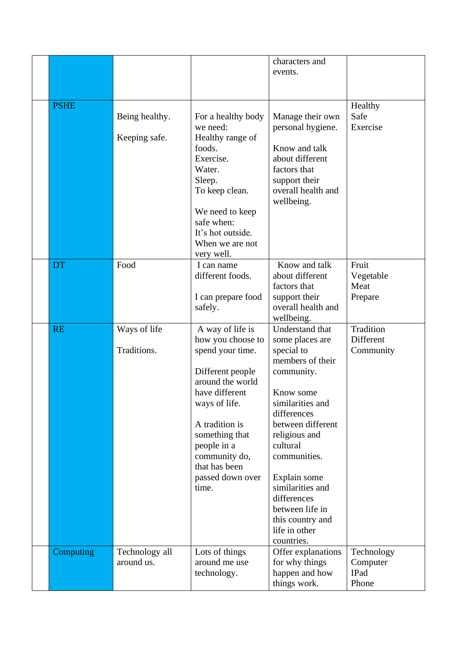|             |                |                                       | characters and                    |                        |
|-------------|----------------|---------------------------------------|-----------------------------------|------------------------|
|             |                |                                       | events.                           |                        |
|             |                |                                       |                                   |                        |
|             |                |                                       |                                   |                        |
| <b>PSHE</b> |                |                                       |                                   | Healthy                |
|             | Being healthy. | For a healthy body                    | Manage their own                  | Safe                   |
|             |                | we need:                              | personal hygiene.                 | Exercise               |
|             | Keeping safe.  | Healthy range of                      |                                   |                        |
|             |                | foods.                                | Know and talk                     |                        |
|             |                | Exercise.                             | about different                   |                        |
|             |                | Water.                                | factors that                      |                        |
|             |                | Sleep.                                | support their                     |                        |
|             |                | To keep clean.                        | overall health and                |                        |
|             |                |                                       | wellbeing.                        |                        |
|             |                | We need to keep                       |                                   |                        |
|             |                | safe when:                            |                                   |                        |
|             |                | It's hot outside.                     |                                   |                        |
|             |                | When we are not                       |                                   |                        |
| <b>DT</b>   | Food           | very well.<br>I can name              | Know and talk                     | Fruit                  |
|             |                | different foods.                      | about different                   | Vegetable              |
|             |                |                                       | factors that                      | Meat                   |
|             |                | I can prepare food                    | support their                     | Prepare                |
|             |                | safely.                               | overall health and                |                        |
|             |                |                                       | wellbeing.                        |                        |
|             |                |                                       |                                   |                        |
|             |                |                                       |                                   |                        |
| <b>RE</b>   | Ways of life   | A way of life is                      | Understand that                   | Tradition<br>Different |
|             | Traditions.    | how you choose to<br>spend your time. | some places are<br>special to     | Community              |
|             |                |                                       | members of their                  |                        |
|             |                | Different people                      | community.                        |                        |
|             |                | around the world                      |                                   |                        |
|             |                | have different                        | Know some                         |                        |
|             |                | ways of life.                         | similarities and                  |                        |
|             |                |                                       | differences                       |                        |
|             |                | A tradition is                        | between different                 |                        |
|             |                | something that                        | religious and                     |                        |
|             |                | people in a                           | cultural                          |                        |
|             |                | community do,                         | communities.                      |                        |
|             |                | that has been                         |                                   |                        |
|             |                | passed down over                      | Explain some                      |                        |
|             |                | time.                                 | similarities and<br>differences   |                        |
|             |                |                                       | between life in                   |                        |
|             |                |                                       |                                   |                        |
|             |                |                                       | this country and<br>life in other |                        |
|             |                |                                       | countries.                        |                        |
| Computing   | Technology all | Lots of things                        | Offer explanations                | Technology             |
|             | around us.     | around me use                         | for why things                    | Computer               |
|             |                | technology.                           | happen and how<br>things work.    | IPad<br>Phone          |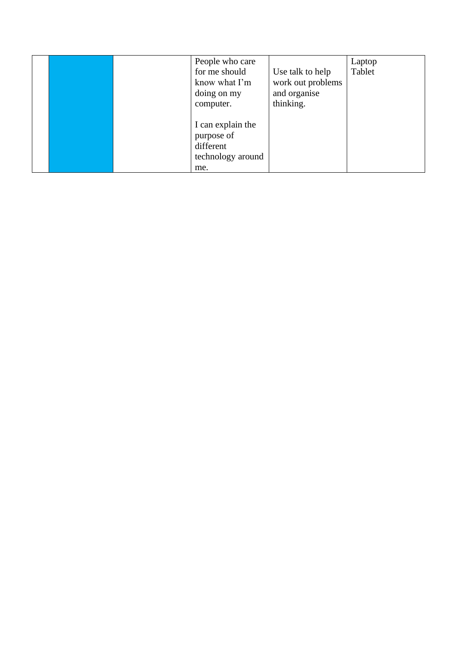|  | People who care   |                   | Laptop |
|--|-------------------|-------------------|--------|
|  | for me should     | Use talk to help  | Tablet |
|  | know what I'm     | work out problems |        |
|  | doing on my       | and organise      |        |
|  | computer.         | thinking.         |        |
|  |                   |                   |        |
|  | I can explain the |                   |        |
|  | purpose of        |                   |        |
|  | different         |                   |        |
|  | technology around |                   |        |
|  | me.               |                   |        |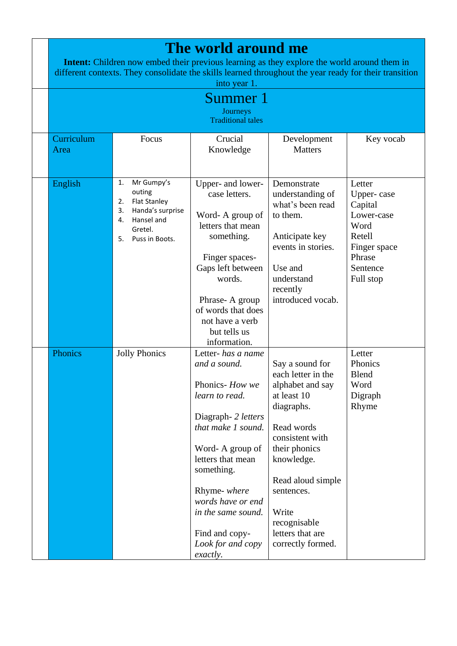| The world around me<br><b>Intent:</b> Children now embed their previous learning as they explore the world around them in<br>different contexts. They consolidate the skills learned throughout the year ready for their transition<br>into year 1. |                                                                                                                                          |                                                                                                                                                                                                                                                                                         |                                                                                                                                                                                                                                                             |                                                                                                                    |  |  |
|-----------------------------------------------------------------------------------------------------------------------------------------------------------------------------------------------------------------------------------------------------|------------------------------------------------------------------------------------------------------------------------------------------|-----------------------------------------------------------------------------------------------------------------------------------------------------------------------------------------------------------------------------------------------------------------------------------------|-------------------------------------------------------------------------------------------------------------------------------------------------------------------------------------------------------------------------------------------------------------|--------------------------------------------------------------------------------------------------------------------|--|--|
|                                                                                                                                                                                                                                                     |                                                                                                                                          | Summer 1                                                                                                                                                                                                                                                                                |                                                                                                                                                                                                                                                             |                                                                                                                    |  |  |
|                                                                                                                                                                                                                                                     |                                                                                                                                          | Journeys                                                                                                                                                                                                                                                                                |                                                                                                                                                                                                                                                             |                                                                                                                    |  |  |
|                                                                                                                                                                                                                                                     |                                                                                                                                          | <b>Traditional tales</b>                                                                                                                                                                                                                                                                |                                                                                                                                                                                                                                                             |                                                                                                                    |  |  |
| Curriculum<br>Area                                                                                                                                                                                                                                  | Focus                                                                                                                                    | Crucial<br>Knowledge                                                                                                                                                                                                                                                                    | Development<br><b>Matters</b>                                                                                                                                                                                                                               | Key vocab                                                                                                          |  |  |
| English                                                                                                                                                                                                                                             | Mr Gumpy's<br>1.<br>outing<br><b>Flat Stanley</b><br>2.<br>Handa's surprise<br>3.<br>Hansel and<br>4.<br>Gretel.<br>Puss in Boots.<br>5. | Upper- and lower-<br>case letters.<br>Word-A group of<br>letters that mean<br>something.<br>Finger spaces-<br>Gaps left between<br>words.<br>Phrase-A group<br>of words that does<br>not have a verb<br>but tells us<br>information.                                                    | Demonstrate<br>understanding of<br>what's been read<br>to them.<br>Anticipate key<br>events in stories.<br>Use and<br>understand<br>recently<br>introduced vocab.                                                                                           | Letter<br>Upper-case<br>Capital<br>Lower-case<br>Word<br>Retell<br>Finger space<br>Phrase<br>Sentence<br>Full stop |  |  |
| Phonics                                                                                                                                                                                                                                             | <b>Jolly Phonics</b>                                                                                                                     | Letter- has a name<br>and a sound.<br>Phonics-How we<br>learn to read.<br>Diagraph- 2 letters<br>that make 1 sound.<br>Word-A group of<br>letters that mean<br>something.<br>Rhyme- where<br>words have or end<br>in the same sound.<br>Find and copy-<br>Look for and copy<br>exactly. | Say a sound for<br>each letter in the<br>alphabet and say<br>at least 10<br>diagraphs.<br>Read words<br>consistent with<br>their phonics<br>knowledge.<br>Read aloud simple<br>sentences.<br>Write<br>recognisable<br>letters that are<br>correctly formed. | Letter<br>Phonics<br><b>Blend</b><br>Word<br>Digraph<br>Rhyme                                                      |  |  |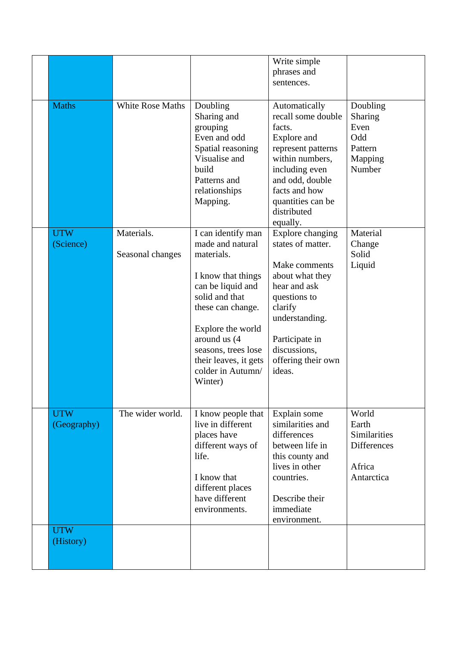|              |                  |                                                                                                                                                 | Write simple                                                                                                                                                                                                |                                                                    |
|--------------|------------------|-------------------------------------------------------------------------------------------------------------------------------------------------|-------------------------------------------------------------------------------------------------------------------------------------------------------------------------------------------------------------|--------------------------------------------------------------------|
|              |                  |                                                                                                                                                 | phrases and                                                                                                                                                                                                 |                                                                    |
|              |                  |                                                                                                                                                 | sentences.                                                                                                                                                                                                  |                                                                    |
| <b>Maths</b> | White Rose Maths | Doubling<br>Sharing and<br>grouping<br>Even and odd<br>Spatial reasoning<br>Visualise and<br>build<br>Patterns and<br>relationships<br>Mapping. | Automatically<br>recall some double<br>facts.<br>Explore and<br>represent patterns<br>within numbers,<br>including even<br>and odd, double<br>facts and how<br>quantities can be<br>distributed<br>equally. | Doubling<br>Sharing<br>Even<br>Odd<br>Pattern<br>Mapping<br>Number |
| <b>UTW</b>   | Materials.       | I can identify man                                                                                                                              | Explore changing                                                                                                                                                                                            | Material                                                           |
| (Science)    |                  | made and natural                                                                                                                                | states of matter.                                                                                                                                                                                           | Change<br>Solid                                                    |
|              | Seasonal changes | materials.                                                                                                                                      | Make comments                                                                                                                                                                                               | Liquid                                                             |
|              |                  | I know that things                                                                                                                              | about what they                                                                                                                                                                                             |                                                                    |
|              |                  | can be liquid and                                                                                                                               | hear and ask                                                                                                                                                                                                |                                                                    |
|              |                  | solid and that<br>these can change.                                                                                                             | questions to<br>clarify                                                                                                                                                                                     |                                                                    |
|              |                  |                                                                                                                                                 | understanding.                                                                                                                                                                                              |                                                                    |
|              |                  | Explore the world                                                                                                                               |                                                                                                                                                                                                             |                                                                    |
|              |                  | around us (4<br>seasons, trees lose                                                                                                             | Participate in<br>discussions,                                                                                                                                                                              |                                                                    |
|              |                  | their leaves, it gets                                                                                                                           | offering their own                                                                                                                                                                                          |                                                                    |
|              |                  | colder in Autumn/                                                                                                                               | ideas.                                                                                                                                                                                                      |                                                                    |
|              |                  | Winter)                                                                                                                                         |                                                                                                                                                                                                             |                                                                    |
|              |                  |                                                                                                                                                 |                                                                                                                                                                                                             |                                                                    |
| <b>UTW</b>   | The wider world. | I know people that                                                                                                                              | Explain some                                                                                                                                                                                                | World                                                              |
| (Geography)  |                  | live in different                                                                                                                               | similarities and                                                                                                                                                                                            | Earth                                                              |
|              |                  | places have<br>different ways of                                                                                                                | differences<br>between life in                                                                                                                                                                              | Similarities<br><b>Differences</b>                                 |
|              |                  | life.                                                                                                                                           | this county and                                                                                                                                                                                             |                                                                    |
|              |                  |                                                                                                                                                 | lives in other                                                                                                                                                                                              | Africa                                                             |
|              |                  | I know that<br>different places                                                                                                                 | countries.                                                                                                                                                                                                  | Antarctica                                                         |
|              |                  | have different                                                                                                                                  | Describe their                                                                                                                                                                                              |                                                                    |
|              |                  | environments.                                                                                                                                   | immediate                                                                                                                                                                                                   |                                                                    |
| <b>UTW</b>   |                  |                                                                                                                                                 | environment.                                                                                                                                                                                                |                                                                    |
| (History)    |                  |                                                                                                                                                 |                                                                                                                                                                                                             |                                                                    |
|              |                  |                                                                                                                                                 |                                                                                                                                                                                                             |                                                                    |
|              |                  |                                                                                                                                                 |                                                                                                                                                                                                             |                                                                    |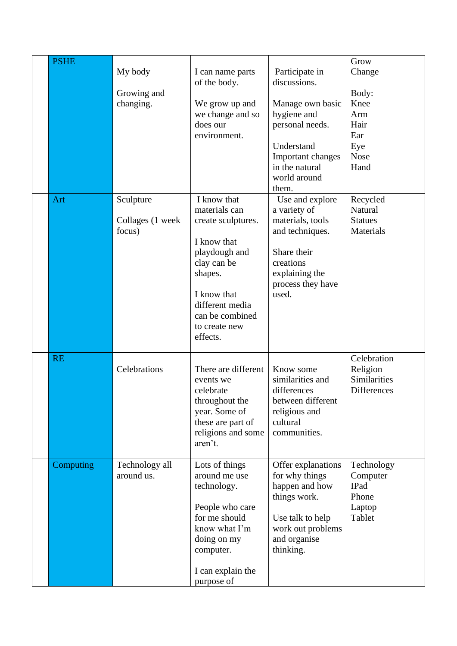| <b>PSHE</b> |                                         |                                                                                                                                                                                                |                                                                                                                                                                    | Grow                                                                        |
|-------------|-----------------------------------------|------------------------------------------------------------------------------------------------------------------------------------------------------------------------------------------------|--------------------------------------------------------------------------------------------------------------------------------------------------------------------|-----------------------------------------------------------------------------|
|             | My body<br>Growing and<br>changing.     | I can name parts<br>of the body.<br>We grow up and<br>we change and so<br>does our<br>environment.                                                                                             | Participate in<br>discussions.<br>Manage own basic<br>hygiene and<br>personal needs.<br>Understand<br>Important changes<br>in the natural<br>world around<br>them. | Change<br>Body:<br>Knee<br>Arm<br>Hair<br>Ear<br>Eye<br><b>Nose</b><br>Hand |
| Art         | Sculpture<br>Collages (1 week<br>focus) | I know that<br>materials can<br>create sculptures.<br>I know that<br>playdough and<br>clay can be<br>shapes.<br>I know that<br>different media<br>can be combined<br>to create new<br>effects. | Use and explore<br>a variety of<br>materials, tools<br>and techniques.<br>Share their<br>creations<br>explaining the<br>process they have<br>used.                 | Recycled<br>Natural<br><b>Statues</b><br><b>Materials</b>                   |
| <b>RE</b>   | Celebrations                            | There are different<br>events we<br>celebrate<br>throughout the<br>year. Some of<br>these are part of<br>religions and some<br>aren't.                                                         | Know some<br>similarities and<br>differences<br>between different<br>religious and<br>cultural<br>communities.                                                     | Celebration<br>Religion<br>Similarities<br><b>Differences</b>               |
| Computing   | Technology all<br>around us.            | Lots of things<br>around me use<br>technology.<br>People who care<br>for me should<br>know what I'm<br>doing on my<br>computer.<br>I can explain the<br>purpose of                             | Offer explanations<br>for why things<br>happen and how<br>things work.<br>Use talk to help<br>work out problems<br>and organise<br>thinking.                       | Technology<br>Computer<br>IPad<br>Phone<br>Laptop<br>Tablet                 |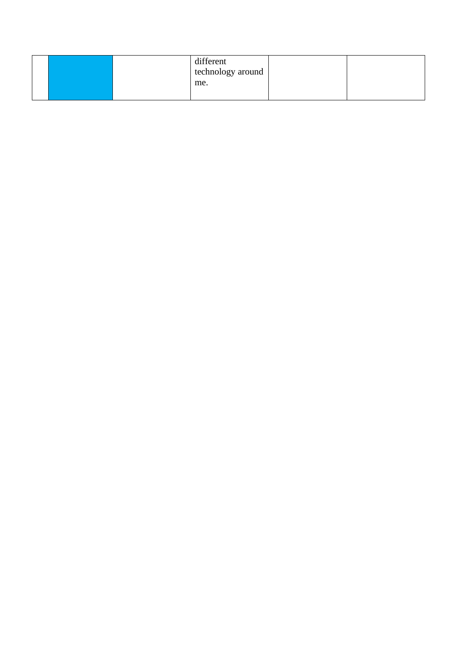|  |  | different         |  |
|--|--|-------------------|--|
|  |  | technology around |  |
|  |  | me.               |  |
|  |  |                   |  |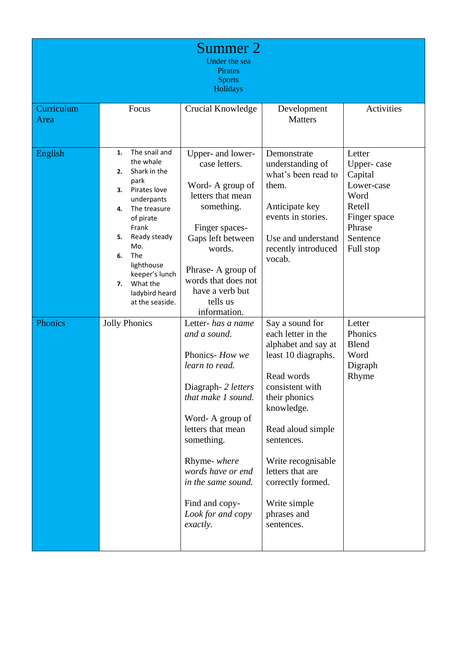|                    |                                                                                                                                                                                                                                                                                 | Summer 2<br>Under the sea<br>Pirates<br><b>Sports</b><br>Holidays                                                                                                                                                                                                                               |                                                                                                                                                                                                                                                                                                    |                                                                                                                    |
|--------------------|---------------------------------------------------------------------------------------------------------------------------------------------------------------------------------------------------------------------------------------------------------------------------------|-------------------------------------------------------------------------------------------------------------------------------------------------------------------------------------------------------------------------------------------------------------------------------------------------|----------------------------------------------------------------------------------------------------------------------------------------------------------------------------------------------------------------------------------------------------------------------------------------------------|--------------------------------------------------------------------------------------------------------------------|
| Curriculum<br>Area | Focus                                                                                                                                                                                                                                                                           | Crucial Knowledge                                                                                                                                                                                                                                                                               | Development<br><b>Matters</b>                                                                                                                                                                                                                                                                      | Activities                                                                                                         |
| English            | The snail and<br>1.<br>the whale<br>Shark in the<br>2.<br>park<br>Pirates love<br>3.<br>underpants<br>The treasure<br>4.<br>of pirate<br>Frank<br>Ready steady<br>5.<br>Mo.<br>The<br>6.<br>lighthouse<br>keeper's lunch<br>What the<br>7.<br>ladybird heard<br>at the seaside. | Upper- and lower-<br>case letters.<br>Word-A group of<br>letters that mean<br>something.<br>Finger spaces-<br>Gaps left between<br>words.<br>Phrase-A group of<br>words that does not<br>have a verb but<br>tells us<br>information.                                                            | Demonstrate<br>understanding of<br>what's been read to<br>them.<br>Anticipate key<br>events in stories.<br>Use and understand<br>recently introduced<br>vocab.                                                                                                                                     | Letter<br>Upper-case<br>Capital<br>Lower-case<br>Word<br>Retell<br>Finger space<br>Phrase<br>Sentence<br>Full stop |
| Phonics            | <b>Jolly Phonics</b>                                                                                                                                                                                                                                                            | Letter- has a name<br>and a sound.<br>Phonics- How we<br>learn to read.<br>Diagraph- 2 letters<br>that make 1 sound.<br>Word-A group of<br>letters that mean<br>something.<br>Rhyme- where<br>words have or end<br>in the same sound.<br>Find and copy-<br>Look for and copy<br><i>exactly.</i> | Say a sound for<br>each letter in the<br>alphabet and say at<br>least 10 diagraphs.<br>Read words<br>consistent with<br>their phonics<br>knowledge.<br>Read aloud simple<br>sentences.<br>Write recognisable<br>letters that are<br>correctly formed.<br>Write simple<br>phrases and<br>sentences. | Letter<br>Phonics<br><b>Blend</b><br>Word<br>Digraph<br>Rhyme                                                      |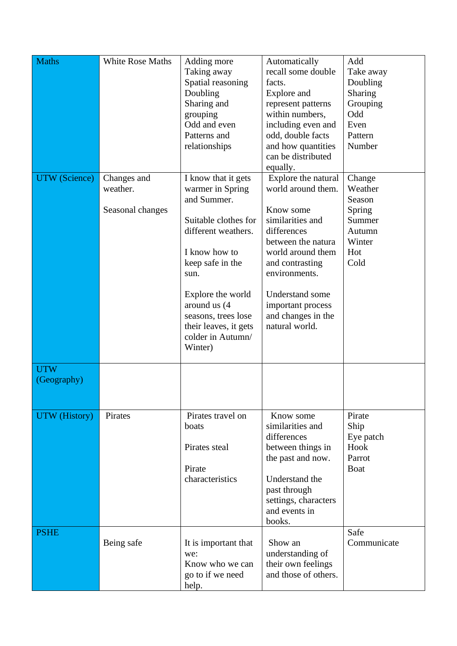| <b>Maths</b><br><b>UTW</b> (Science) | <b>White Rose Maths</b><br>Changes and<br>weather.<br>Seasonal changes | Adding more<br>Taking away<br>Spatial reasoning<br>Doubling<br>Sharing and<br>grouping<br>Odd and even<br>Patterns and<br>relationships<br>I know that it gets<br>warmer in Spring<br>and Summer.<br>Suitable clothes for<br>different weathers.<br>I know how to<br>keep safe in the<br>sun.<br>Explore the world<br>around us (4<br>seasons, trees lose<br>their leaves, it gets<br>colder in Autumn/ | Automatically<br>recall some double<br>facts.<br><b>Explore</b> and<br>represent patterns<br>within numbers,<br>including even and<br>odd, double facts<br>and how quantities<br>can be distributed<br>equally.<br>Explore the natural<br>world around them.<br>Know some<br>similarities and<br>differences<br>between the natura<br>world around them<br>and contrasting<br>environments.<br><b>Understand some</b><br>important process<br>and changes in the<br>natural world. | Add<br>Take away<br>Doubling<br>Sharing<br>Grouping<br>Odd<br>Even<br>Pattern<br>Number<br>Change<br>Weather<br>Season<br>Spring<br>Summer<br>Autumn<br>Winter<br>Hot<br>Cold |
|--------------------------------------|------------------------------------------------------------------------|---------------------------------------------------------------------------------------------------------------------------------------------------------------------------------------------------------------------------------------------------------------------------------------------------------------------------------------------------------------------------------------------------------|------------------------------------------------------------------------------------------------------------------------------------------------------------------------------------------------------------------------------------------------------------------------------------------------------------------------------------------------------------------------------------------------------------------------------------------------------------------------------------|-------------------------------------------------------------------------------------------------------------------------------------------------------------------------------|
| <b>UTW</b><br>(Geography)            |                                                                        | Winter)                                                                                                                                                                                                                                                                                                                                                                                                 |                                                                                                                                                                                                                                                                                                                                                                                                                                                                                    |                                                                                                                                                                               |
| <b>UTW</b> (History)                 | Pirates                                                                | Pirates travel on<br>boats<br>Pirates steal<br>Pirate<br>characteristics                                                                                                                                                                                                                                                                                                                                | Know some<br>similarities and<br>differences<br>between things in<br>the past and now.<br>Understand the<br>past through<br>settings, characters<br>and events in<br>books.                                                                                                                                                                                                                                                                                                        | Pirate<br>Ship<br>Eye patch<br>Hook<br>Parrot<br><b>Boat</b>                                                                                                                  |
| <b>PSHE</b>                          | Being safe                                                             | It is important that<br>we:<br>Know who we can<br>go to if we need<br>help.                                                                                                                                                                                                                                                                                                                             | Show an<br>understanding of<br>their own feelings<br>and those of others.                                                                                                                                                                                                                                                                                                                                                                                                          | Safe<br>Communicate                                                                                                                                                           |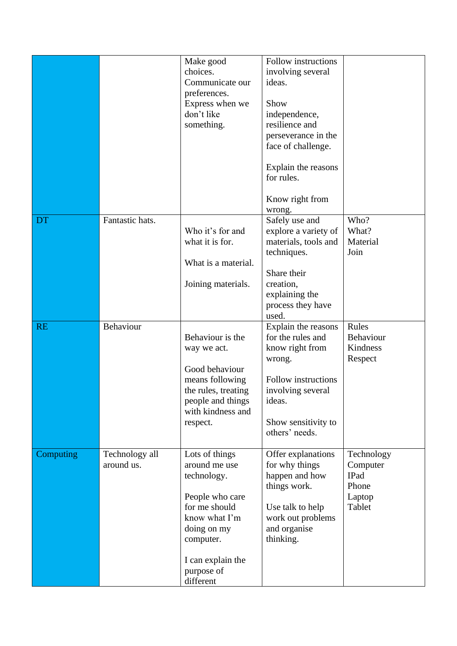|           |                 | Make good<br>choices.                  | Follow instructions<br>involving several |             |
|-----------|-----------------|----------------------------------------|------------------------------------------|-------------|
|           |                 | Communicate our                        | ideas.                                   |             |
|           |                 | preferences.                           |                                          |             |
|           |                 | Express when we                        | Show                                     |             |
|           |                 | don't like                             | independence,                            |             |
|           |                 | something.                             | resilience and                           |             |
|           |                 |                                        | perseverance in the                      |             |
|           |                 |                                        | face of challenge.                       |             |
|           |                 |                                        | Explain the reasons                      |             |
|           |                 |                                        | for rules.                               |             |
|           |                 |                                        | Know right from                          |             |
|           |                 |                                        | wrong.                                   |             |
| <b>DT</b> | Fantastic hats. |                                        | Safely use and                           | Who?        |
|           |                 | Who it's for and                       | explore a variety of                     | What?       |
|           |                 | what it is for.                        | materials, tools and                     | Material    |
|           |                 |                                        | techniques.                              | Join        |
|           |                 | What is a material.                    | Share their                              |             |
|           |                 | Joining materials.                     | creation,                                |             |
|           |                 |                                        | explaining the                           |             |
|           |                 |                                        | process they have                        |             |
|           |                 |                                        | used.                                    |             |
| <b>RE</b> | Behaviour       |                                        | Explain the reasons                      | Rules       |
|           |                 | Behaviour is the                       | for the rules and                        | Behaviour   |
|           |                 | way we act.                            | know right from                          | Kindness    |
|           |                 |                                        | wrong.                                   | Respect     |
|           |                 | Good behaviour                         | Follow instructions                      |             |
|           |                 | means following<br>the rules, treating | involving several                        |             |
|           |                 | people and things                      | ideas.                                   |             |
|           |                 | with kindness and                      |                                          |             |
|           |                 | respect.                               | Show sensitivity to                      |             |
|           |                 |                                        | others' needs.                           |             |
| Computing | Technology all  | Lots of things                         | Offer explanations                       | Technology  |
|           | around us.      | around me use                          | for why things                           | Computer    |
|           |                 | technology.                            | happen and how                           | <b>IPad</b> |
|           |                 |                                        | things work.                             | Phone       |
|           |                 |                                        |                                          |             |
|           |                 | People who care                        |                                          | Laptop      |
|           |                 | for me should                          | Use talk to help                         | Tablet      |
|           |                 | know what I'm                          | work out problems                        |             |
|           |                 | doing on my                            | and organise                             |             |
|           |                 | computer.                              | thinking.                                |             |
|           |                 | I can explain the                      |                                          |             |
|           |                 | purpose of                             |                                          |             |